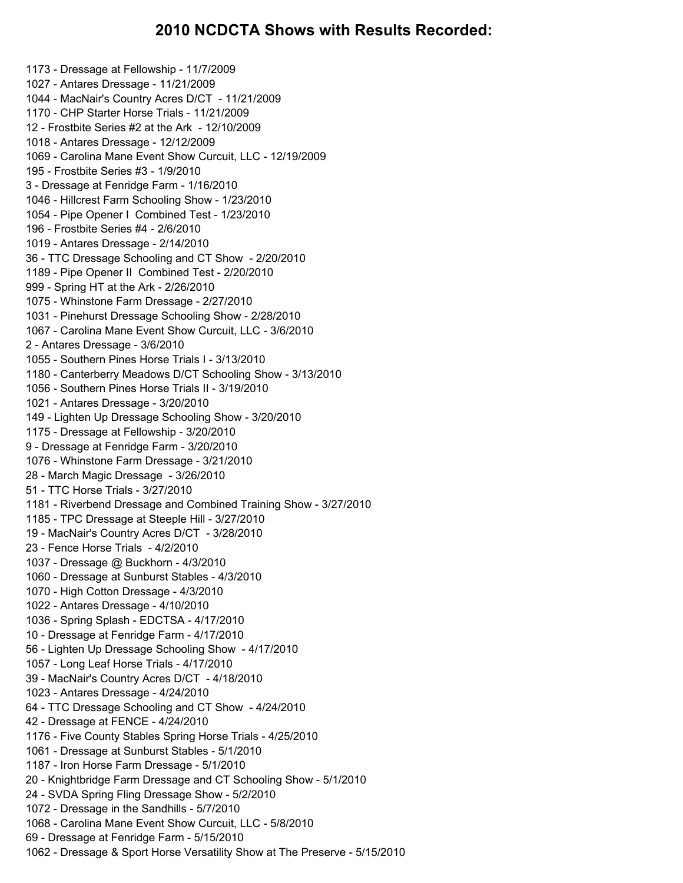- Dressage at Fellowship - 11/7/2009 - Antares Dressage - 11/21/2009 - MacNair's Country Acres D/CT - 11/21/2009 - CHP Starter Horse Trials - 11/21/2009 - Frostbite Series #2 at the Ark - 12/10/2009 - Antares Dressage - 12/12/2009 - Carolina Mane Event Show Curcuit, LLC - 12/19/2009 - Frostbite Series #3 - 1/9/2010 - Dressage at Fenridge Farm - 1/16/2010 - Hillcrest Farm Schooling Show - 1/23/2010 - Pipe Opener I Combined Test - 1/23/2010 - Frostbite Series #4 - 2/6/2010 - Antares Dressage - 2/14/2010 - TTC Dressage Schooling and CT Show - 2/20/2010 - Pipe Opener II Combined Test - 2/20/2010 - Spring HT at the Ark - 2/26/2010 - Whinstone Farm Dressage - 2/27/2010 - Pinehurst Dressage Schooling Show - 2/28/2010 - Carolina Mane Event Show Curcuit, LLC - 3/6/2010 - Antares Dressage - 3/6/2010 - Southern Pines Horse Trials I - 3/13/2010 - Canterberry Meadows D/CT Schooling Show - 3/13/2010 - Southern Pines Horse Trials II - 3/19/2010 - Antares Dressage - 3/20/2010 - Lighten Up Dressage Schooling Show - 3/20/2010 - Dressage at Fellowship - 3/20/2010 - Dressage at Fenridge Farm - 3/20/2010 - Whinstone Farm Dressage - 3/21/2010 - March Magic Dressage - 3/26/2010 - TTC Horse Trials - 3/27/2010 - Riverbend Dressage and Combined Training Show - 3/27/2010 - TPC Dressage at Steeple Hill - 3/27/2010 - MacNair's Country Acres D/CT - 3/28/2010 - Fence Horse Trials - 4/2/2010 - Dressage @ Buckhorn - 4/3/2010 - Dressage at Sunburst Stables - 4/3/2010 - High Cotton Dressage - 4/3/2010 - Antares Dressage - 4/10/2010 - Spring Splash - EDCTSA - 4/17/2010 - Dressage at Fenridge Farm - 4/17/2010 - Lighten Up Dressage Schooling Show - 4/17/2010 - Long Leaf Horse Trials - 4/17/2010 - MacNair's Country Acres D/CT - 4/18/2010 - Antares Dressage - 4/24/2010 - TTC Dressage Schooling and CT Show - 4/24/2010 - Dressage at FENCE - 4/24/2010 - Five County Stables Spring Horse Trials - 4/25/2010 - Dressage at Sunburst Stables - 5/1/2010 - Iron Horse Farm Dressage - 5/1/2010 - Knightbridge Farm Dressage and CT Schooling Show - 5/1/2010 - SVDA Spring Fling Dressage Show - 5/2/2010 - Dressage in the Sandhills - 5/7/2010 - Carolina Mane Event Show Curcuit, LLC - 5/8/2010 - Dressage at Fenridge Farm - 5/15/2010 - Dressage & Sport Horse Versatility Show at The Preserve - 5/15/2010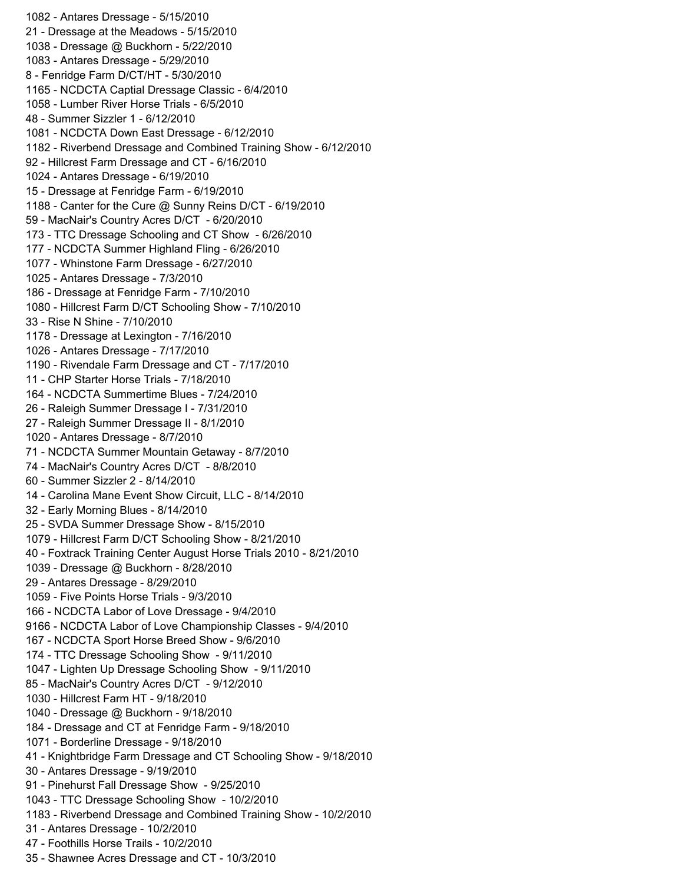- Antares Dressage - 5/15/2010 - Dressage at the Meadows - 5/15/2010 - Dressage @ Buckhorn - 5/22/2010 - Antares Dressage - 5/29/2010 - Fenridge Farm D/CT/HT - 5/30/2010 - NCDCTA Captial Dressage Classic - 6/4/2010 - Lumber River Horse Trials - 6/5/2010 - Summer Sizzler 1 - 6/12/2010 - NCDCTA Down East Dressage - 6/12/2010 - Riverbend Dressage and Combined Training Show - 6/12/2010 - Hillcrest Farm Dressage and CT - 6/16/2010 - Antares Dressage - 6/19/2010 - Dressage at Fenridge Farm - 6/19/2010 - Canter for the Cure @ Sunny Reins D/CT - 6/19/2010 - MacNair's Country Acres D/CT - 6/20/2010 - TTC Dressage Schooling and CT Show - 6/26/2010 - NCDCTA Summer Highland Fling - 6/26/2010 - Whinstone Farm Dressage - 6/27/2010 - Antares Dressage - 7/3/2010 - Dressage at Fenridge Farm - 7/10/2010 - Hillcrest Farm D/CT Schooling Show - 7/10/2010 - Rise N Shine - 7/10/2010 - Dressage at Lexington - 7/16/2010 - Antares Dressage - 7/17/2010 - Rivendale Farm Dressage and CT - 7/17/2010 - CHP Starter Horse Trials - 7/18/2010 - NCDCTA Summertime Blues - 7/24/2010 - Raleigh Summer Dressage I - 7/31/2010 - Raleigh Summer Dressage II - 8/1/2010 - Antares Dressage - 8/7/2010 - NCDCTA Summer Mountain Getaway - 8/7/2010 - MacNair's Country Acres D/CT - 8/8/2010 - Summer Sizzler 2 - 8/14/2010 - Carolina Mane Event Show Circuit, LLC - 8/14/2010 - Early Morning Blues - 8/14/2010 - SVDA Summer Dressage Show - 8/15/2010 - Hillcrest Farm D/CT Schooling Show - 8/21/2010 - Foxtrack Training Center August Horse Trials 2010 - 8/21/2010 - Dressage @ Buckhorn - 8/28/2010 - Antares Dressage - 8/29/2010 - Five Points Horse Trials - 9/3/2010 - NCDCTA Labor of Love Dressage - 9/4/2010 - NCDCTA Labor of Love Championship Classes - 9/4/2010 - NCDCTA Sport Horse Breed Show - 9/6/2010 - TTC Dressage Schooling Show - 9/11/2010 - Lighten Up Dressage Schooling Show - 9/11/2010 - MacNair's Country Acres D/CT - 9/12/2010 - Hillcrest Farm HT - 9/18/2010 - Dressage @ Buckhorn - 9/18/2010 - Dressage and CT at Fenridge Farm - 9/18/2010 - Borderline Dressage - 9/18/2010 - Knightbridge Farm Dressage and CT Schooling Show - 9/18/2010 - Antares Dressage - 9/19/2010 - Pinehurst Fall Dressage Show - 9/25/2010 - TTC Dressage Schooling Show - 10/2/2010 - Riverbend Dressage and Combined Training Show - 10/2/2010 - Antares Dressage - 10/2/2010 - Foothills Horse Trails - 10/2/2010 - Shawnee Acres Dressage and CT - 10/3/2010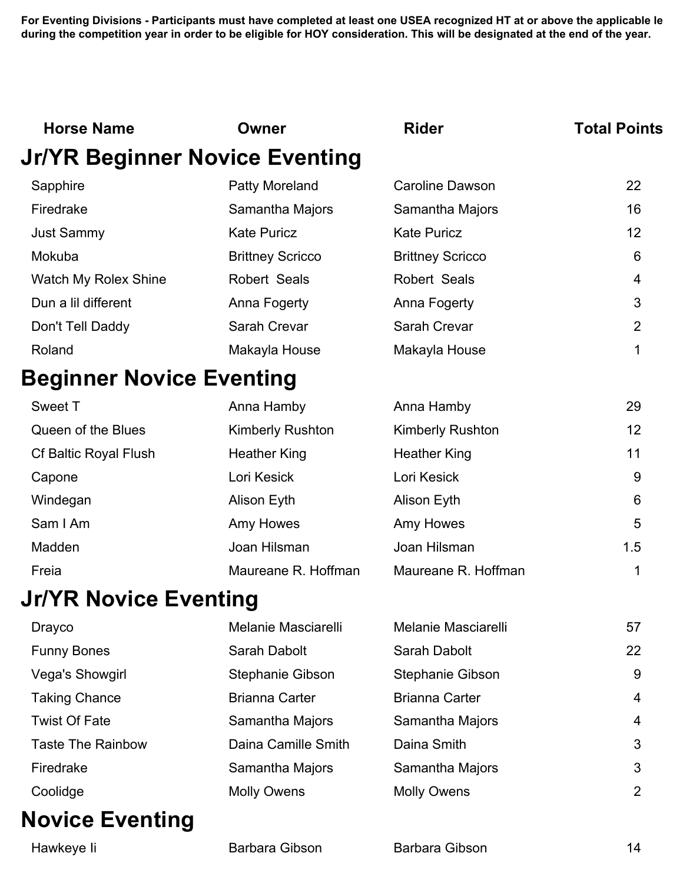For Eventing Divisions - Participants must have completed at least one USEA recognized HT at or above the applicable le during the competition year in order to be eligible for HOY consideration. This will be designated at the end of the year.

| <b>Horse Name</b>                     | Owner                   | <b>Rider</b>            | <b>Total Points</b> |
|---------------------------------------|-------------------------|-------------------------|---------------------|
| <b>Jr/YR Beginner Novice Eventing</b> |                         |                         |                     |
| Sapphire                              | <b>Patty Moreland</b>   | <b>Caroline Dawson</b>  | 22                  |
| Firedrake                             | Samantha Majors         | Samantha Majors         | 16                  |
| <b>Just Sammy</b>                     | <b>Kate Puricz</b>      | <b>Kate Puricz</b>      | 12                  |
| Mokuba                                | <b>Brittney Scricco</b> | <b>Brittney Scricco</b> | 6                   |
| <b>Watch My Rolex Shine</b>           | <b>Robert Seals</b>     | <b>Robert Seals</b>     | 4                   |
| Dun a lil different                   | Anna Fogerty            | Anna Fogerty            | 3                   |
| Don't Tell Daddy                      | Sarah Crevar            | Sarah Crevar            | $\overline{2}$      |
| Roland                                | Makayla House           | Makayla House           | 1                   |
| <b>Beginner Novice Eventing</b>       |                         |                         |                     |
| Sweet T                               | Anna Hamby              | Anna Hamby              | 29                  |
| Queen of the Blues                    | <b>Kimberly Rushton</b> | Kimberly Rushton        | 12                  |
| <b>Cf Baltic Royal Flush</b>          | <b>Heather King</b>     | <b>Heather King</b>     | 11                  |
| Capone                                | Lori Kesick             | Lori Kesick             | 9                   |
| Windegan                              | Alison Eyth             | Alison Eyth             | 6                   |
| Sam I Am                              | Amy Howes               | Amy Howes               | 5                   |
| Madden                                | Joan Hilsman            | Joan Hilsman            | 1.5                 |
| Freia                                 | Maureane R. Hoffman     | Maureane R. Hoffman     | 1                   |
| <b>Jr/YR Novice Eventing</b>          |                         |                         |                     |
| <b>Drayco</b>                         | Melanie Masciarelli     | Melanie Masciarelli     | 57                  |
| <b>Funny Bones</b>                    | Sarah Dabolt            | Sarah Dabolt            | 22                  |
| Vega's Showgirl                       | <b>Stephanie Gibson</b> | Stephanie Gibson        | 9                   |
| <b>Taking Chance</b>                  | <b>Brianna Carter</b>   | <b>Brianna Carter</b>   | 4                   |
| <b>Twist Of Fate</b>                  | Samantha Majors         | Samantha Majors         | 4                   |
| <b>Taste The Rainbow</b>              | Daina Camille Smith     | Daina Smith             | 3                   |
| Firedrake                             | Samantha Majors         | Samantha Majors         | 3                   |
| Coolidge                              | <b>Molly Owens</b>      | <b>Molly Owens</b>      | $\overline{2}$      |
| <b>Novice Eventing</b>                |                         |                         |                     |
| Hawkeye li                            | Barbara Gibson          | Barbara Gibson          | 14                  |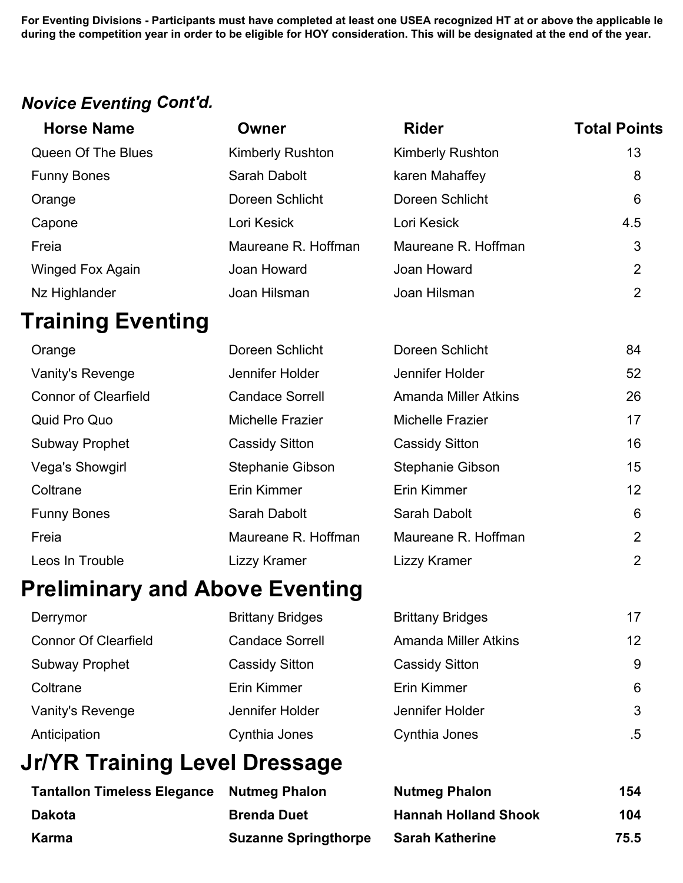For Eventing Divisions - Participants must have completed at least one USEA recognized HT at or above the applicable le during the competition year in order to be eligible for HOY consideration. This will be designated at the end of the year.

### *Novice Eventing Cont'd.*

| <b>Horse Name</b>           | <b>Owner</b>                          | <b>Rider</b>                | <b>Total Points</b> |
|-----------------------------|---------------------------------------|-----------------------------|---------------------|
| Queen Of The Blues          | <b>Kimberly Rushton</b>               | Kimberly Rushton            | 13                  |
| <b>Funny Bones</b>          | Sarah Dabolt                          | karen Mahaffey              | 8                   |
| Orange                      | Doreen Schlicht                       | Doreen Schlicht             | 6                   |
| Capone                      | Lori Kesick                           | Lori Kesick                 | 4.5                 |
| Freia                       | Maureane R. Hoffman                   | Maureane R. Hoffman         | 3                   |
| <b>Winged Fox Again</b>     | Joan Howard                           | Joan Howard                 | $\overline{2}$      |
| Nz Highlander               | Joan Hilsman                          | Joan Hilsman                | $\overline{2}$      |
| <b>Training Eventing</b>    |                                       |                             |                     |
| Orange                      | Doreen Schlicht                       | Doreen Schlicht             | 84                  |
| Vanity's Revenge            | Jennifer Holder                       | Jennifer Holder             | 52                  |
| <b>Connor of Clearfield</b> | <b>Candace Sorrell</b>                | <b>Amanda Miller Atkins</b> | 26                  |
| Quid Pro Quo                | <b>Michelle Frazier</b>               | Michelle Frazier            | 17                  |
| <b>Subway Prophet</b>       | <b>Cassidy Sitton</b>                 | <b>Cassidy Sitton</b>       | 16                  |
| Vega's Showgirl             | <b>Stephanie Gibson</b>               | <b>Stephanie Gibson</b>     | 15                  |
| Coltrane                    | Erin Kimmer                           | Erin Kimmer                 | 12                  |
| <b>Funny Bones</b>          | Sarah Dabolt                          | Sarah Dabolt                | 6                   |
| Freia                       | Maureane R. Hoffman                   | Maureane R. Hoffman         | $\overline{2}$      |
| Leos In Trouble             | Lizzy Kramer                          | Lizzy Kramer                | $\overline{2}$      |
|                             | <b>Preliminary and Above Eventing</b> |                             |                     |
| Derrymor                    | <b>Brittany Bridges</b>               | <b>Brittany Bridges</b>     | 17                  |
| <b>Connor Of Clearfield</b> | <b>Candace Sorrell</b>                | <b>Amanda Miller Atkins</b> | 12                  |
| <b>Subway Prophet</b>       | <b>Cassidy Sitton</b>                 | <b>Cassidy Sitton</b>       | 9                   |
| Coltrane                    | Erin Kimmer                           | Erin Kimmer                 | 6                   |
| Vanity's Revenge            | Jennifer Holder                       | Jennifer Holder             | 3                   |

Anticipation **Cynthia Jones** Cynthia Jones .5

# **Jr/YR Training Level Dressage**

| <b>Tantallon Timeless Elegance</b> | <b>Nutmeg Phalon</b>        | <b>Nutmeg Phalon</b>        | 154  |
|------------------------------------|-----------------------------|-----------------------------|------|
| <b>Dakota</b>                      | <b>Brenda Duet</b>          | <b>Hannah Holland Shook</b> | 104  |
| Karma                              | <b>Suzanne Springthorpe</b> | <b>Sarah Katherine</b>      | 75.5 |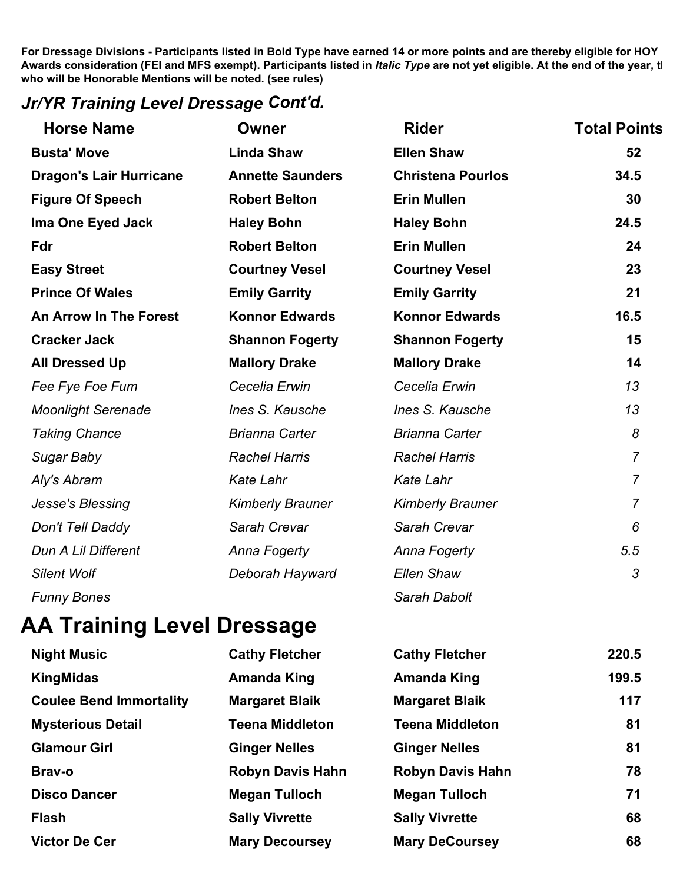#### *Jr/YR Training Level Dressage Cont'd.*

| <b>Horse Name</b>              | Owner                   | <b>Rider</b>             | <b>Total Points</b> |
|--------------------------------|-------------------------|--------------------------|---------------------|
| <b>Busta' Move</b>             | <b>Linda Shaw</b>       | <b>Ellen Shaw</b>        | 52                  |
| <b>Dragon's Lair Hurricane</b> | <b>Annette Saunders</b> | <b>Christena Pourlos</b> | 34.5                |
| <b>Figure Of Speech</b>        | <b>Robert Belton</b>    | <b>Erin Mullen</b>       | 30                  |
| Ima One Eyed Jack              | <b>Haley Bohn</b>       | <b>Haley Bohn</b>        | 24.5                |
| <b>Fdr</b>                     | <b>Robert Belton</b>    | <b>Erin Mullen</b>       | 24                  |
| <b>Easy Street</b>             | <b>Courtney Vesel</b>   | <b>Courtney Vesel</b>    | 23                  |
| <b>Prince Of Wales</b>         | <b>Emily Garrity</b>    | <b>Emily Garrity</b>     | 21                  |
| An Arrow In The Forest         | <b>Konnor Edwards</b>   | <b>Konnor Edwards</b>    | 16.5                |
| <b>Cracker Jack</b>            | <b>Shannon Fogerty</b>  | <b>Shannon Fogerty</b>   | 15                  |
| <b>All Dressed Up</b>          | <b>Mallory Drake</b>    | <b>Mallory Drake</b>     | 14                  |
| Fee Fye Foe Fum                | Cecelia Erwin           | Cecelia Erwin            | 13                  |
| <b>Moonlight Serenade</b>      | Ines S. Kausche         | Ines S. Kausche          | 13                  |
| <b>Taking Chance</b>           | <b>Brianna Carter</b>   | <b>Brianna Carter</b>    | $\boldsymbol{8}$    |
| Sugar Baby                     | <b>Rachel Harris</b>    | <b>Rachel Harris</b>     | $\overline{7}$      |
| Aly's Abram                    | <b>Kate Lahr</b>        | <b>Kate Lahr</b>         | $\overline{7}$      |
| Jesse's Blessing               | <b>Kimberly Brauner</b> | <b>Kimberly Brauner</b>  | $\overline{7}$      |
| Don't Tell Daddy               | Sarah Crevar            | Sarah Crevar             | 6                   |
| Dun A Lil Different            | <b>Anna Fogerty</b>     | Anna Fogerty             | 5.5                 |
| <b>Silent Wolf</b>             | Deborah Hayward         | <b>Ellen Shaw</b>        | 3                   |
| <b>Funny Bones</b>             |                         | Sarah Dabolt             |                     |

# **AA Training Level Dressage**

| <b>Night Music</b>             | <b>Cathy Fletcher</b>   | <b>Cathy Fletcher</b>   | 220.5 |
|--------------------------------|-------------------------|-------------------------|-------|
| <b>KingMidas</b>               | Amanda King             | Amanda King             | 199.5 |
| <b>Coulee Bend Immortality</b> | <b>Margaret Blaik</b>   | <b>Margaret Blaik</b>   | 117   |
| <b>Mysterious Detail</b>       | <b>Teena Middleton</b>  | <b>Teena Middleton</b>  | 81    |
| <b>Glamour Girl</b>            | <b>Ginger Nelles</b>    | <b>Ginger Nelles</b>    | 81    |
| <b>Brav-o</b>                  | <b>Robyn Davis Hahn</b> | <b>Robyn Davis Hahn</b> | 78    |
| <b>Disco Dancer</b>            | <b>Megan Tulloch</b>    | <b>Megan Tulloch</b>    | 71    |
| <b>Flash</b>                   | <b>Sally Vivrette</b>   | <b>Sally Vivrette</b>   | 68    |
| <b>Victor De Cer</b>           | <b>Mary Decoursey</b>   | <b>Mary DeCoursey</b>   | 68    |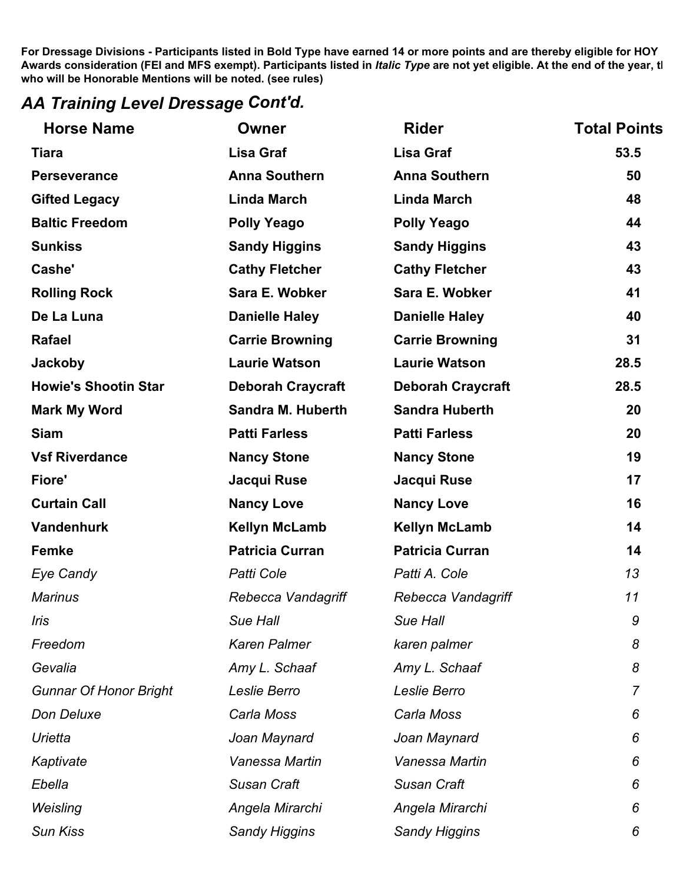### *AA Training Level Dressage Cont'd.*

| <b>Horse Name</b>             | <b>Owner</b>             | <b>Rider</b>             | <b>Total Points</b> |
|-------------------------------|--------------------------|--------------------------|---------------------|
| <b>Tiara</b>                  | <b>Lisa Graf</b>         | <b>Lisa Graf</b>         | 53.5                |
| <b>Perseverance</b>           | <b>Anna Southern</b>     | <b>Anna Southern</b>     | 50                  |
| <b>Gifted Legacy</b>          | <b>Linda March</b>       | <b>Linda March</b>       | 48                  |
| <b>Baltic Freedom</b>         | <b>Polly Yeago</b>       | <b>Polly Yeago</b>       | 44                  |
| <b>Sunkiss</b>                | <b>Sandy Higgins</b>     | <b>Sandy Higgins</b>     | 43                  |
| Cashe'                        | <b>Cathy Fletcher</b>    | <b>Cathy Fletcher</b>    | 43                  |
| <b>Rolling Rock</b>           | Sara E. Wobker           | Sara E. Wobker           | 41                  |
| De La Luna                    | <b>Danielle Haley</b>    | <b>Danielle Haley</b>    | 40                  |
| Rafael                        | <b>Carrie Browning</b>   | <b>Carrie Browning</b>   | 31                  |
| <b>Jackoby</b>                | <b>Laurie Watson</b>     | <b>Laurie Watson</b>     | 28.5                |
| <b>Howie's Shootin Star</b>   | <b>Deborah Craycraft</b> | <b>Deborah Craycraft</b> | 28.5                |
| <b>Mark My Word</b>           | <b>Sandra M. Huberth</b> | <b>Sandra Huberth</b>    | 20                  |
| <b>Siam</b>                   | <b>Patti Farless</b>     | <b>Patti Farless</b>     | 20                  |
| <b>Vsf Riverdance</b>         | <b>Nancy Stone</b>       | <b>Nancy Stone</b>       | 19                  |
| Fiore'                        | Jacqui Ruse              | Jacqui Ruse              | 17                  |
| <b>Curtain Call</b>           | <b>Nancy Love</b>        | <b>Nancy Love</b>        | 16                  |
| <b>Vandenhurk</b>             | <b>Kellyn McLamb</b>     | <b>Kellyn McLamb</b>     | 14                  |
| <b>Femke</b>                  | <b>Patricia Curran</b>   | <b>Patricia Curran</b>   | 14                  |
| <b>Eye Candy</b>              | Patti Cole               | Patti A. Cole            | 13                  |
| <b>Marinus</b>                | Rebecca Vandagriff       | Rebecca Vandagriff       | 11                  |
| Iris                          | Sue Hall                 | Sue Hall                 | 9                   |
| Freedom                       | <b>Karen Palmer</b>      | karen palmer             | 8                   |
| Gevalia                       | Amy L. Schaaf            | Amy L. Schaaf            | 8                   |
| <b>Gunnar Of Honor Bright</b> | Leslie Berro             | Leslie Berro             | $\overline{7}$      |
| Don Deluxe                    | Carla Moss               | Carla Moss               | 6                   |
| Urietta                       | Joan Maynard             | Joan Maynard             | 6                   |
| Kaptivate                     | Vanessa Martin           | Vanessa Martin           | 6                   |
| Ebella                        | <b>Susan Craft</b>       | <b>Susan Craft</b>       | 6                   |
| Weisling                      | Angela Mirarchi          | Angela Mirarchi          | 6                   |
| <b>Sun Kiss</b>               | <b>Sandy Higgins</b>     | <b>Sandy Higgins</b>     | 6                   |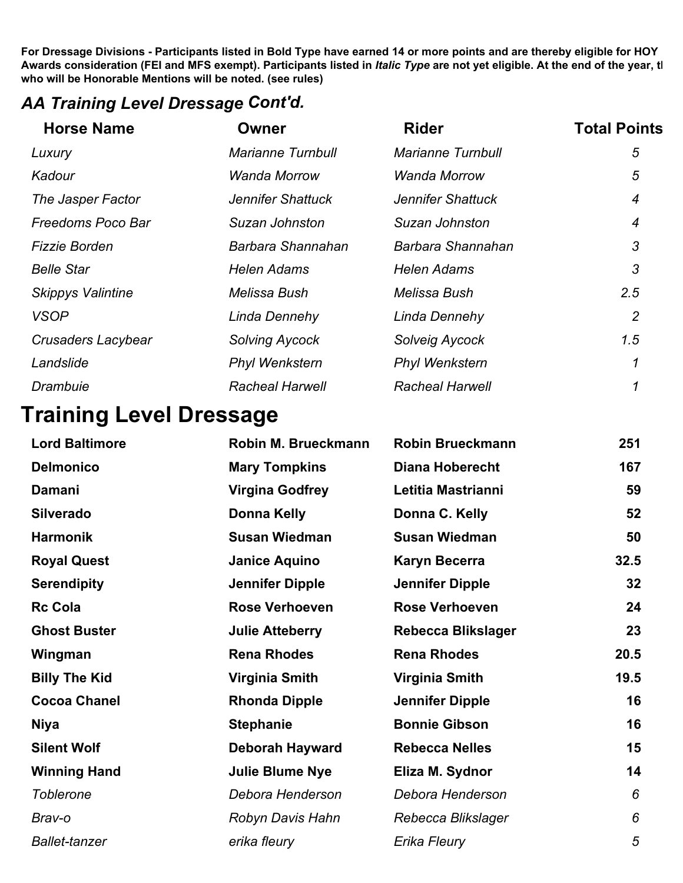#### *AA Training Level Dressage Cont'd.*

| <b>Horse Name</b>         | Owner                    | <b>Rider</b>             | <b>Total Points</b> |
|---------------------------|--------------------------|--------------------------|---------------------|
| Luxury                    | <b>Marianne Turnbull</b> | <b>Marianne Turnbull</b> | 5                   |
| Kadour                    | Wanda Morrow             | <b>Wanda Morrow</b>      | 5                   |
| The Jasper Factor         | Jennifer Shattuck        | Jennifer Shattuck        | 4                   |
| Freedoms Poco Bar         | Suzan Johnston           | Suzan Johnston           | 4                   |
| <b>Fizzie Borden</b>      | Barbara Shannahan        | Barbara Shannahan        | 3                   |
| <b>Belle Star</b>         | <b>Helen Adams</b>       | <b>Helen Adams</b>       | 3                   |
| <b>Skippys Valintine</b>  | Melissa Bush             | Melissa Bush             | 2.5                 |
| <b>VSOP</b>               | Linda Dennehy            | Linda Dennehy            | $\overline{2}$      |
| <b>Crusaders Lacybear</b> | Solving Aycock           | Solveig Aycock           | 1.5                 |
| Landslide                 | <b>Phyl Wenkstern</b>    | <b>Phyl Wenkstern</b>    |                     |
| Drambuie                  | <b>Racheal Harwell</b>   | <b>Racheal Harwell</b>   |                     |
|                           |                          |                          |                     |

# **Training Level Dressage**

| <b>Lord Baltimore</b> | Robin M. Brueckmann    | <b>Robin Brueckmann</b>   | 251  |
|-----------------------|------------------------|---------------------------|------|
| <b>Delmonico</b>      | <b>Mary Tompkins</b>   | <b>Diana Hoberecht</b>    | 167  |
| Damani                | <b>Virgina Godfrey</b> | Letitia Mastrianni        | 59   |
| <b>Silverado</b>      | <b>Donna Kelly</b>     | Donna C. Kelly            | 52   |
| <b>Harmonik</b>       | <b>Susan Wiedman</b>   | <b>Susan Wiedman</b>      | 50   |
| <b>Royal Quest</b>    | <b>Janice Aquino</b>   | <b>Karyn Becerra</b>      | 32.5 |
| <b>Serendipity</b>    | <b>Jennifer Dipple</b> | <b>Jennifer Dipple</b>    | 32   |
| <b>Rc Cola</b>        | <b>Rose Verhoeven</b>  | <b>Rose Verhoeven</b>     | 24   |
| <b>Ghost Buster</b>   | <b>Julie Atteberry</b> | <b>Rebecca Blikslager</b> | 23   |
| Wingman               | <b>Rena Rhodes</b>     | <b>Rena Rhodes</b>        | 20.5 |
| <b>Billy The Kid</b>  | Virginia Smith         | Virginia Smith            | 19.5 |
| <b>Cocoa Chanel</b>   | <b>Rhonda Dipple</b>   | <b>Jennifer Dipple</b>    | 16   |
| <b>Niya</b>           | <b>Stephanie</b>       | <b>Bonnie Gibson</b>      | 16   |
| <b>Silent Wolf</b>    | <b>Deborah Hayward</b> | <b>Rebecca Nelles</b>     | 15   |
| <b>Winning Hand</b>   | <b>Julie Blume Nye</b> | Eliza M. Sydnor           | 14   |
| <b>Toblerone</b>      | Debora Henderson       | Debora Henderson          | 6    |
| Brav-o                | Robyn Davis Hahn       | Rebecca Blikslager        | 6    |
| <b>Ballet-tanzer</b>  | erika fleury           | Erika Fleury              | 5    |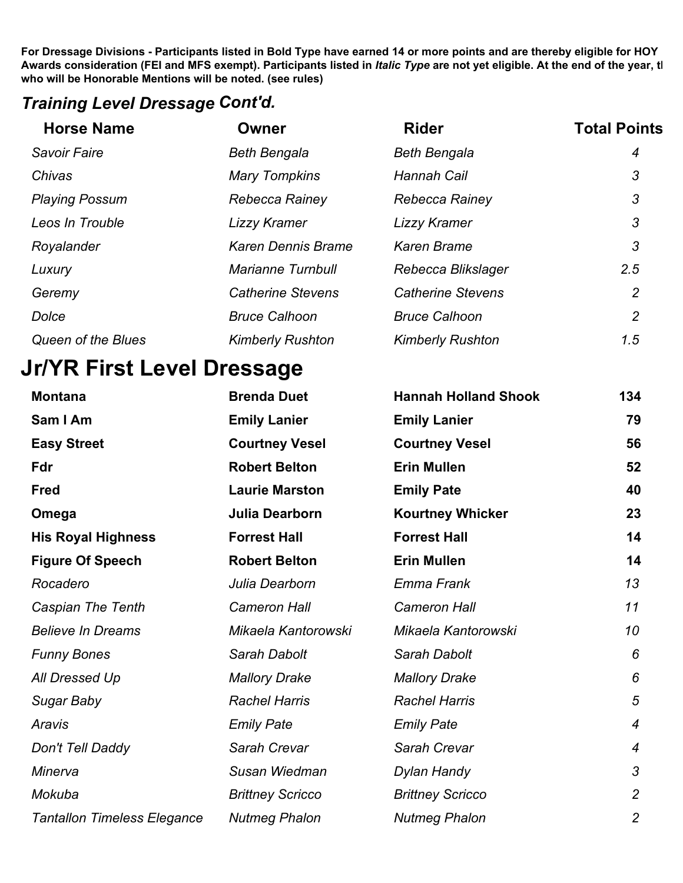### *Training Level Dressage Cont'd.*

| <b>Horse Name</b>     | Owner                     | <b>Rider</b>             | <b>Total Points</b> |
|-----------------------|---------------------------|--------------------------|---------------------|
| <b>Savoir Faire</b>   | <b>Beth Bengala</b>       | <b>Beth Bengala</b>      | 4                   |
| Chivas                | <b>Mary Tompkins</b>      | <b>Hannah Cail</b>       | 3                   |
| <b>Playing Possum</b> | Rebecca Rainey            | Rebecca Rainey           | 3                   |
| Leos In Trouble       | Lizzy Kramer              | <b>Lizzy Kramer</b>      | 3                   |
| Royalander            | <b>Karen Dennis Brame</b> | <b>Karen Brame</b>       | 3                   |
| Luxury                | <b>Marianne Turnbull</b>  | Rebecca Blikslager       | 2.5                 |
| Geremy                | <b>Catherine Stevens</b>  | <b>Catherine Stevens</b> | $\overline{2}$      |
| Dolce                 | <b>Bruce Calhoon</b>      | <b>Bruce Calhoon</b>     | $\overline{2}$      |
| Queen of the Blues    | <b>Kimberly Rushton</b>   | <b>Kimberly Rushton</b>  | 1.5                 |

# **Jr/YR First Level Dressage**

| <b>Montana</b>                     | <b>Brenda Duet</b>      | <b>Hannah Holland Shook</b> | 134            |
|------------------------------------|-------------------------|-----------------------------|----------------|
| Sam I Am                           | <b>Emily Lanier</b>     | <b>Emily Lanier</b>         | 79             |
| <b>Easy Street</b>                 | <b>Courtney Vesel</b>   | <b>Courtney Vesel</b>       | 56             |
| Fdr                                | <b>Robert Belton</b>    | <b>Erin Mullen</b>          | 52             |
| <b>Fred</b>                        | <b>Laurie Marston</b>   | <b>Emily Pate</b>           | 40             |
| Omega                              | Julia Dearborn          | <b>Kourtney Whicker</b>     | 23             |
| <b>His Royal Highness</b>          | <b>Forrest Hall</b>     | <b>Forrest Hall</b>         | 14             |
| <b>Figure Of Speech</b>            | <b>Robert Belton</b>    | <b>Erin Mullen</b>          | 14             |
| Rocadero                           | Julia Dearborn          | Emma Frank                  | 13             |
| Caspian The Tenth                  | <b>Cameron Hall</b>     | <b>Cameron Hall</b>         | 11             |
| <b>Believe In Dreams</b>           | Mikaela Kantorowski     | Mikaela Kantorowski         | 10             |
| <b>Funny Bones</b>                 | Sarah Dabolt            | Sarah Dabolt                | 6              |
| All Dressed Up                     | <b>Mallory Drake</b>    | <b>Mallory Drake</b>        | 6              |
| Sugar Baby                         | <b>Rachel Harris</b>    | <b>Rachel Harris</b>        | 5              |
| Aravis                             | <b>Emily Pate</b>       | <b>Emily Pate</b>           | $\overline{4}$ |
| Don't Tell Daddy                   | Sarah Crevar            | Sarah Crevar                | $\overline{4}$ |
| Minerva                            | Susan Wiedman           | Dylan Handy                 | 3              |
| Mokuba                             | <b>Brittney Scricco</b> | <b>Brittney Scricco</b>     | $\overline{2}$ |
| <b>Tantallon Timeless Elegance</b> | <b>Nutmeg Phalon</b>    | <b>Nutmeg Phalon</b>        | $\overline{c}$ |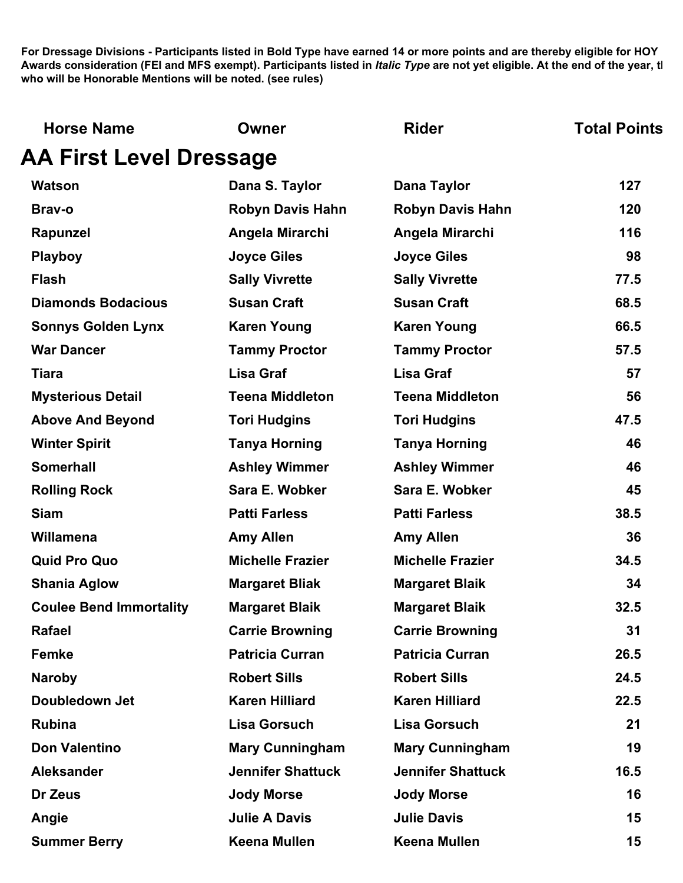| <b>Horse Name</b>              | Owner                    | <b>Rider</b>             | <b>Total Points</b> |
|--------------------------------|--------------------------|--------------------------|---------------------|
| <b>AA First Level Dressage</b> |                          |                          |                     |
| <b>Watson</b>                  | Dana S. Taylor           | <b>Dana Taylor</b>       | 127                 |
| Brav-o                         | <b>Robyn Davis Hahn</b>  | <b>Robyn Davis Hahn</b>  | 120                 |
| Rapunzel                       | Angela Mirarchi          | Angela Mirarchi          | 116                 |
| <b>Playboy</b>                 | <b>Joyce Giles</b>       | <b>Joyce Giles</b>       | 98                  |
| <b>Flash</b>                   | <b>Sally Vivrette</b>    | <b>Sally Vivrette</b>    | 77.5                |
| <b>Diamonds Bodacious</b>      | <b>Susan Craft</b>       | <b>Susan Craft</b>       | 68.5                |
| <b>Sonnys Golden Lynx</b>      | <b>Karen Young</b>       | <b>Karen Young</b>       | 66.5                |
| <b>War Dancer</b>              | <b>Tammy Proctor</b>     | <b>Tammy Proctor</b>     | 57.5                |
| <b>Tiara</b>                   | <b>Lisa Graf</b>         | <b>Lisa Graf</b>         | 57                  |
| <b>Mysterious Detail</b>       | <b>Teena Middleton</b>   | <b>Teena Middleton</b>   | 56                  |
| <b>Above And Beyond</b>        | <b>Tori Hudgins</b>      | <b>Tori Hudgins</b>      | 47.5                |
| <b>Winter Spirit</b>           | <b>Tanya Horning</b>     | <b>Tanya Horning</b>     | 46                  |
| <b>Somerhall</b>               | <b>Ashley Wimmer</b>     | <b>Ashley Wimmer</b>     | 46                  |
| <b>Rolling Rock</b>            | Sara E. Wobker           | Sara E. Wobker           | 45                  |
| <b>Siam</b>                    | <b>Patti Farless</b>     | <b>Patti Farless</b>     | 38.5                |
| Willamena                      | <b>Amy Allen</b>         | <b>Amy Allen</b>         | 36                  |
| <b>Quid Pro Quo</b>            | <b>Michelle Frazier</b>  | <b>Michelle Frazier</b>  | 34.5                |
| <b>Shania Aglow</b>            | <b>Margaret Bliak</b>    | <b>Margaret Blaik</b>    | 34                  |
| <b>Coulee Bend Immortality</b> | <b>Margaret Blaik</b>    | <b>Margaret Blaik</b>    | 32.5                |
| <b>Rafael</b>                  | <b>Carrie Browning</b>   | <b>Carrie Browning</b>   | 31                  |
| <b>Femke</b>                   | <b>Patricia Curran</b>   | <b>Patricia Curran</b>   | 26.5                |
| <b>Naroby</b>                  | <b>Robert Sills</b>      | <b>Robert Sills</b>      | 24.5                |
| Doubledown Jet                 | <b>Karen Hilliard</b>    | <b>Karen Hilliard</b>    | 22.5                |
| <b>Rubina</b>                  | <b>Lisa Gorsuch</b>      | <b>Lisa Gorsuch</b>      | 21                  |
| <b>Don Valentino</b>           | <b>Mary Cunningham</b>   | <b>Mary Cunningham</b>   | 19                  |
| <b>Aleksander</b>              | <b>Jennifer Shattuck</b> | <b>Jennifer Shattuck</b> | 16.5                |
| Dr Zeus                        | <b>Jody Morse</b>        | <b>Jody Morse</b>        | 16                  |
| Angie                          | <b>Julie A Davis</b>     | <b>Julie Davis</b>       | 15                  |
| <b>Summer Berry</b>            | <b>Keena Mullen</b>      | <b>Keena Mullen</b>      | 15                  |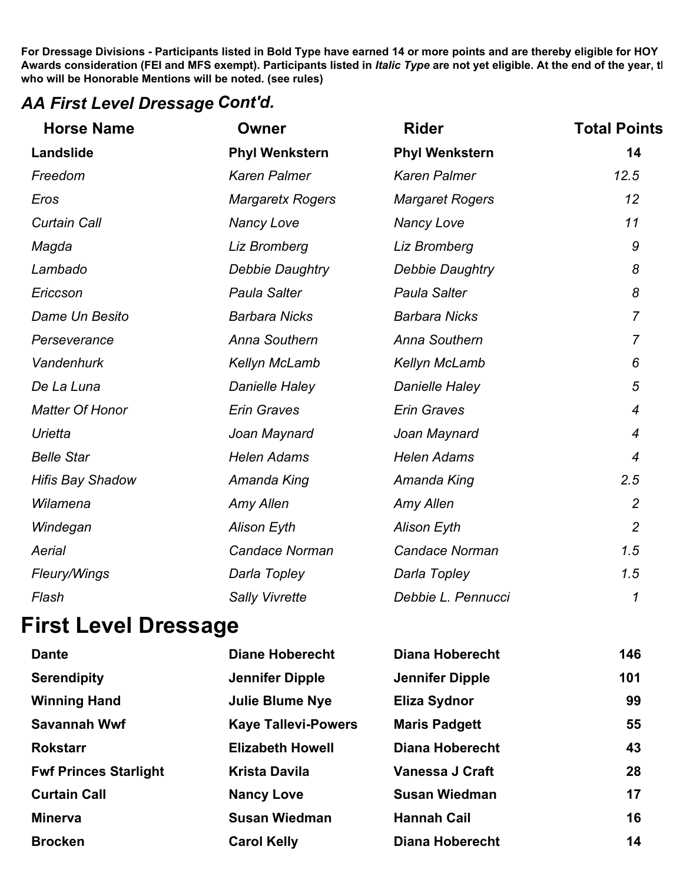### *AA First Level Dressage Cont'd.*

| <b>Horse Name</b>       | <b>Owner</b>            | <b>Rider</b>           | <b>Total Points</b> |
|-------------------------|-------------------------|------------------------|---------------------|
| Landslide               | <b>Phyl Wenkstern</b>   | <b>Phyl Wenkstern</b>  | 14                  |
| Freedom                 | <b>Karen Palmer</b>     | <b>Karen Palmer</b>    | 12.5                |
| Eros                    | <b>Margaretx Rogers</b> | <b>Margaret Rogers</b> | 12                  |
| <b>Curtain Call</b>     | <b>Nancy Love</b>       | <b>Nancy Love</b>      | 11                  |
| Magda                   | Liz Bromberg            | Liz Bromberg           | 9                   |
| Lambado                 | Debbie Daughtry         | Debbie Daughtry        | 8                   |
| Ericcson                | <b>Paula Salter</b>     | <b>Paula Salter</b>    | 8                   |
| Dame Un Besito          | <b>Barbara Nicks</b>    | <b>Barbara Nicks</b>   | $\overline{7}$      |
| Perseverance            | Anna Southern           | Anna Southern          | $\overline{7}$      |
| Vandenhurk              | Kellyn McLamb           | Kellyn McLamb          | 6                   |
| De La Luna              | Danielle Haley          | Danielle Haley         | 5                   |
| <b>Matter Of Honor</b>  | <b>Erin Graves</b>      | <b>Erin Graves</b>     | $\overline{4}$      |
| Urietta                 | Joan Maynard            | Joan Maynard           | $\overline{4}$      |
| <b>Belle Star</b>       | <b>Helen Adams</b>      | <b>Helen Adams</b>     | $\overline{4}$      |
| <b>Hifis Bay Shadow</b> | Amanda King             | Amanda King            | 2.5                 |
| Wilamena                | Amy Allen               | Amy Allen              | $\overline{2}$      |
| Windegan                | <b>Alison Eyth</b>      | <b>Alison Eyth</b>     | $\overline{2}$      |
| Aerial                  | Candace Norman          | Candace Norman         | 1.5                 |
| Fleury/Wings            | Darla Topley            | Darla Topley           | 1.5                 |
| Flash                   | <b>Sally Vivrette</b>   | Debbie L. Pennucci     | 1                   |

## **First Level Dressage**

| <b>Dante</b>                 | <b>Diane Hoberecht</b>     | <b>Diana Hoberecht</b> | 146 |
|------------------------------|----------------------------|------------------------|-----|
| <b>Serendipity</b>           | <b>Jennifer Dipple</b>     | <b>Jennifer Dipple</b> | 101 |
| <b>Winning Hand</b>          | <b>Julie Blume Nye</b>     | Eliza Sydnor           | 99  |
| <b>Savannah Wwf</b>          | <b>Kaye Tallevi-Powers</b> | <b>Maris Padgett</b>   | 55  |
| <b>Rokstarr</b>              | <b>Elizabeth Howell</b>    | <b>Diana Hoberecht</b> | 43  |
| <b>Fwf Princes Starlight</b> | <b>Krista Davila</b>       | <b>Vanessa J Craft</b> | 28  |
| <b>Curtain Call</b>          | <b>Nancy Love</b>          | <b>Susan Wiedman</b>   | 17  |
| <b>Minerva</b>               | <b>Susan Wiedman</b>       | <b>Hannah Cail</b>     | 16  |
| <b>Brocken</b>               | <b>Carol Kelly</b>         | <b>Diana Hoberecht</b> | 14  |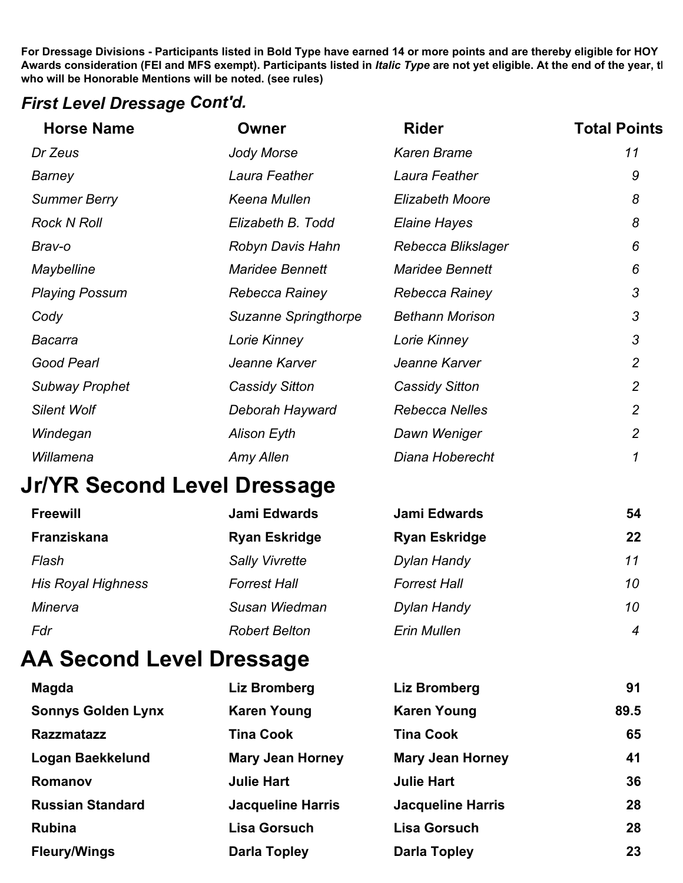#### *First Level Dressage Cont'd.*

| <b>Horse Name</b>     | Owner                  | <b>Rider</b>           | <b>Total Points</b> |
|-----------------------|------------------------|------------------------|---------------------|
| Dr Zeus               | Jody Morse             | <b>Karen Brame</b>     | 11                  |
| Barney                | Laura Feather          | Laura Feather          | 9                   |
| <b>Summer Berry</b>   | Keena Mullen           | Elizabeth Moore        | 8                   |
| <b>Rock N Roll</b>    | Elizabeth B. Todd      | Elaine Hayes           | 8                   |
| Brav-o                | Robyn Davis Hahn       | Rebecca Blikslager     | 6                   |
| Maybelline            | <b>Maridee Bennett</b> | <b>Maridee Bennett</b> | 6                   |
| <b>Playing Possum</b> | Rebecca Rainey         | Rebecca Rainey         | 3                   |
| Cody                  | Suzanne Springthorpe   | <b>Bethann Morison</b> | 3                   |
| Bacarra               | Lorie Kinney           | Lorie Kinney           | 3                   |
| Good Pearl            | Jeanne Karver          | Jeanne Karver          | $\overline{2}$      |
| Subway Prophet        | <b>Cassidy Sitton</b>  | <b>Cassidy Sitton</b>  | $\overline{2}$      |
| <b>Silent Wolf</b>    | Deborah Hayward        | <b>Rebecca Nelles</b>  | $\overline{2}$      |
| Windegan              | <b>Alison Eyth</b>     | Dawn Weniger           | $\overline{2}$      |
| Willamena             | Amy Allen              | Diana Hoberecht        |                     |

## **Jr/YR Second Level Dressage**

| <b>Freewill</b>           | Jami Edwards          | Jami Edwards         | 54             |
|---------------------------|-----------------------|----------------------|----------------|
| Franziskana               | <b>Ryan Eskridge</b>  | <b>Ryan Eskridge</b> | 22             |
| Flash                     | <b>Sally Vivrette</b> | Dylan Handy          | 11             |
| <b>His Royal Highness</b> | <b>Forrest Hall</b>   | <b>Forrest Hall</b>  | 10             |
| Minerva                   | Susan Wiedman         | Dylan Handy          | 10             |
| Fdr                       | <b>Robert Belton</b>  | Erin Mullen          | $\overline{4}$ |

# **AA Second Level Dressage**

| <b>Magda</b>              | Liz Bromberg             | Liz Bromberg             | 91   |
|---------------------------|--------------------------|--------------------------|------|
| <b>Sonnys Golden Lynx</b> | <b>Karen Young</b>       | <b>Karen Young</b>       | 89.5 |
| <b>Razzmatazz</b>         | <b>Tina Cook</b>         | <b>Tina Cook</b>         | 65   |
| <b>Logan Baekkelund</b>   | <b>Mary Jean Horney</b>  | <b>Mary Jean Horney</b>  | 41   |
| Romanov                   | <b>Julie Hart</b>        | <b>Julie Hart</b>        | 36   |
| <b>Russian Standard</b>   | <b>Jacqueline Harris</b> | <b>Jacqueline Harris</b> | 28   |
| <b>Rubina</b>             | <b>Lisa Gorsuch</b>      | <b>Lisa Gorsuch</b>      | 28   |
| <b>Fleury/Wings</b>       | <b>Darla Topley</b>      | <b>Darla Topley</b>      | 23   |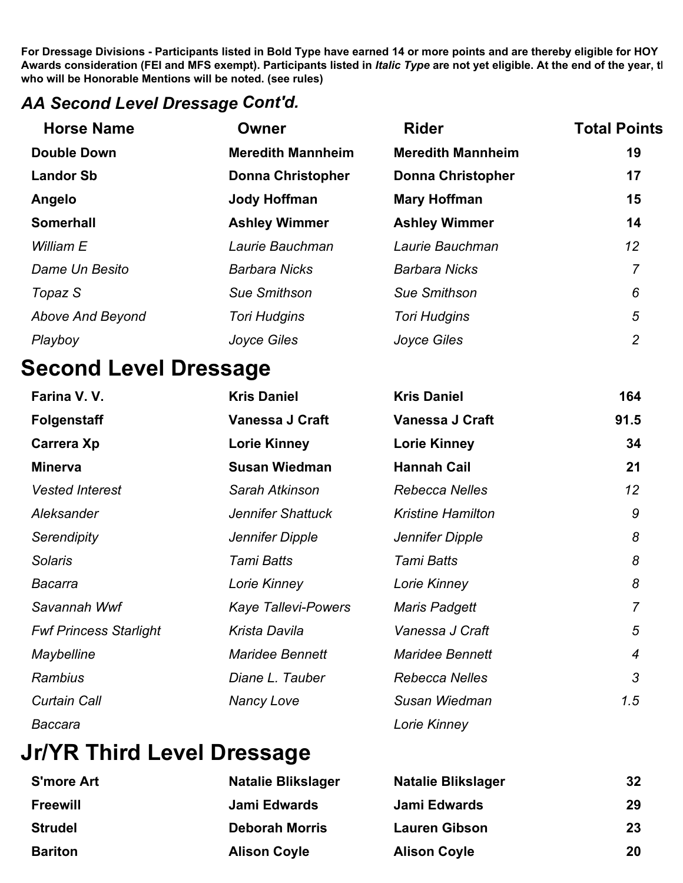### *AA Second Level Dressage Cont'd.*

| <b>Horse Name</b>       | Owner                    | <b>Rider</b>             | <b>Total Points</b> |
|-------------------------|--------------------------|--------------------------|---------------------|
| <b>Double Down</b>      | <b>Meredith Mannheim</b> | <b>Meredith Mannheim</b> | 19                  |
| <b>Landor Sb</b>        | <b>Donna Christopher</b> | <b>Donna Christopher</b> | 17                  |
| Angelo                  | <b>Jody Hoffman</b>      | <b>Mary Hoffman</b>      | 15                  |
| <b>Somerhall</b>        | <b>Ashley Wimmer</b>     | <b>Ashley Wimmer</b>     | 14                  |
| William E               | Laurie Bauchman          | Laurie Bauchman          | 12                  |
| Dame Un Besito          | <b>Barbara Nicks</b>     | <b>Barbara Nicks</b>     | 7                   |
| Topaz S                 | Sue Smithson             | Sue Smithson             | 6                   |
| <b>Above And Beyond</b> | <b>Tori Hudgins</b>      | <b>Tori Hudgins</b>      | 5                   |
| Playboy                 | Joyce Giles              | <b>Joyce Giles</b>       | $\overline{2}$      |

# **Second Level Dressage**

| Farina V.V.                   | <b>Kris Daniel</b>         | <b>Kris Daniel</b>       | 164            |
|-------------------------------|----------------------------|--------------------------|----------------|
| <b>Folgenstaff</b>            | <b>Vanessa J Craft</b>     | <b>Vanessa J Craft</b>   | 91.5           |
| Carrera Xp                    | <b>Lorie Kinney</b>        | <b>Lorie Kinney</b>      | 34             |
| <b>Minerva</b>                | <b>Susan Wiedman</b>       | <b>Hannah Cail</b>       | 21             |
| <b>Vested Interest</b>        | Sarah Atkinson             | <b>Rebecca Nelles</b>    | 12             |
| Aleksander                    | Jennifer Shattuck          | <b>Kristine Hamilton</b> | 9              |
| Serendipity                   | Jennifer Dipple            | Jennifer Dipple          | 8              |
| <b>Solaris</b>                | Tami Batts                 | Tami Batts               | 8              |
| <b>Bacarra</b>                | Lorie Kinney               | Lorie Kinney             | 8              |
| Savannah Wwf                  | <b>Kaye Tallevi-Powers</b> | <b>Maris Padgett</b>     | $\overline{7}$ |
| <b>Fwf Princess Starlight</b> | Krista Davila              | Vanessa J Craft          | 5              |
| Maybelline                    | <b>Maridee Bennett</b>     | <b>Maridee Bennett</b>   | $\overline{4}$ |
| Rambius                       | Diane L. Tauber            | Rebecca Nelles           | 3              |
| <b>Curtain Call</b>           | Nancy Love                 | Susan Wiedman            | 1.5            |
| Baccara                       |                            | Lorie Kinney             |                |

# **Jr/YR Third Level Dressage**

| <b>S'more Art</b> | <b>Natalie Blikslager</b> | <b>Natalie Blikslager</b> | 32 |
|-------------------|---------------------------|---------------------------|----|
| <b>Freewill</b>   | Jami Edwards              | Jami Edwards              | 29 |
| <b>Strudel</b>    | <b>Deborah Morris</b>     | <b>Lauren Gibson</b>      | 23 |
| <b>Bariton</b>    | <b>Alison Coyle</b>       | <b>Alison Coyle</b>       | 20 |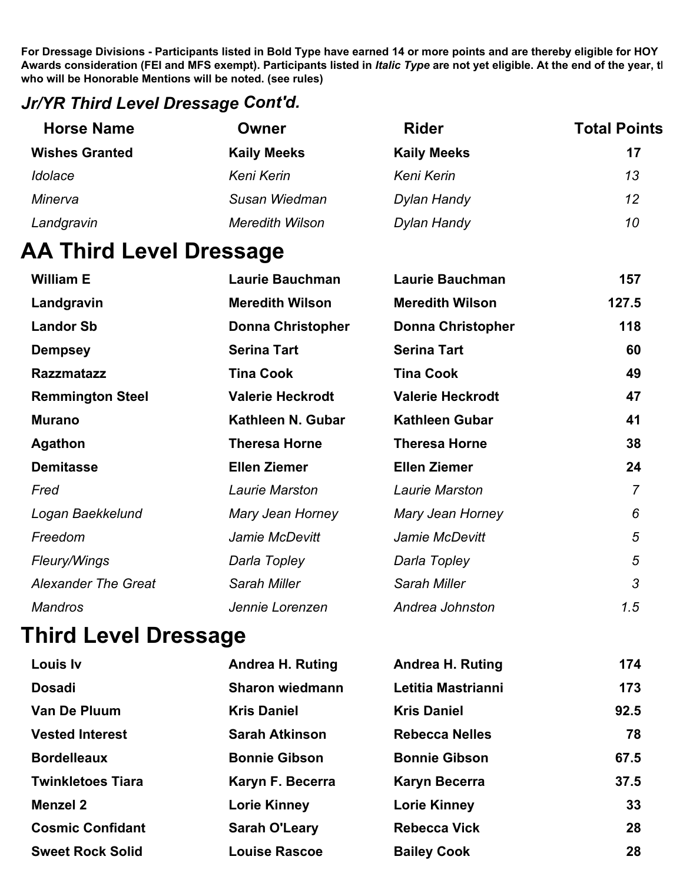#### *Jr/YR Third Level Dressage Cont'd.*

| <b>Horse Name</b>     | Owner                  | <b>Rider</b>       | <b>Total Points</b> |
|-----------------------|------------------------|--------------------|---------------------|
| <b>Wishes Granted</b> | <b>Kaily Meeks</b>     | <b>Kaily Meeks</b> | 17                  |
| Idolace               | Keni Kerin             | Keni Kerin         | 13                  |
| Minerva               | Susan Wiedman          | Dylan Handy        | $12 \overline{ }$   |
| Landgravin            | <b>Meredith Wilson</b> | Dylan Handy        | 10                  |

## **AA Third Level Dressage**

| <b>William E</b>           | <b>Laurie Bauchman</b>   | <b>Laurie Bauchman</b>   | 157            |
|----------------------------|--------------------------|--------------------------|----------------|
| Landgravin                 | <b>Meredith Wilson</b>   | <b>Meredith Wilson</b>   | 127.5          |
| <b>Landor Sb</b>           | <b>Donna Christopher</b> | <b>Donna Christopher</b> | 118            |
| <b>Dempsey</b>             | <b>Serina Tart</b>       | <b>Serina Tart</b>       | 60             |
| <b>Razzmatazz</b>          | <b>Tina Cook</b>         | <b>Tina Cook</b>         | 49             |
| <b>Remmington Steel</b>    | <b>Valerie Heckrodt</b>  | <b>Valerie Heckrodt</b>  | 47             |
| <b>Murano</b>              | Kathleen N. Gubar        | <b>Kathleen Gubar</b>    | 41             |
| Agathon                    | <b>Theresa Horne</b>     | <b>Theresa Horne</b>     | 38             |
| <b>Demitasse</b>           | <b>Ellen Ziemer</b>      | <b>Ellen Ziemer</b>      | 24             |
| Fred                       | Laurie Marston           | Laurie Marston           | $\overline{7}$ |
| Logan Baekkelund           | Mary Jean Horney         | Mary Jean Horney         | 6              |
| Freedom                    | Jamie McDevitt           | Jamie McDevitt           | 5              |
| Fleury/Wings               | Darla Topley             | Darla Topley             | 5              |
| <b>Alexander The Great</b> | Sarah Miller             | Sarah Miller             | 3              |
| <b>Mandros</b>             | Jennie Lorenzen          | Andrea Johnston          | 1.5            |

### **Third Level Dressage**

| <b>Louis Iv</b>          | <b>Andrea H. Ruting</b> | <b>Andrea H. Ruting</b> | 174  |
|--------------------------|-------------------------|-------------------------|------|
| <b>Dosadi</b>            | <b>Sharon wiedmann</b>  | Letitia Mastrianni      | 173  |
| <b>Van De Pluum</b>      | <b>Kris Daniel</b>      | <b>Kris Daniel</b>      | 92.5 |
| <b>Vested Interest</b>   | <b>Sarah Atkinson</b>   | <b>Rebecca Nelles</b>   | 78   |
| <b>Bordelleaux</b>       | <b>Bonnie Gibson</b>    | <b>Bonnie Gibson</b>    | 67.5 |
| <b>Twinkletoes Tiara</b> | Karyn F. Becerra        | <b>Karyn Becerra</b>    | 37.5 |
| <b>Menzel 2</b>          | Lorie Kinney            | <b>Lorie Kinney</b>     | 33   |
| <b>Cosmic Confidant</b>  | <b>Sarah O'Leary</b>    | <b>Rebecca Vick</b>     | 28   |
| <b>Sweet Rock Solid</b>  | <b>Louise Rascoe</b>    | <b>Bailey Cook</b>      | 28   |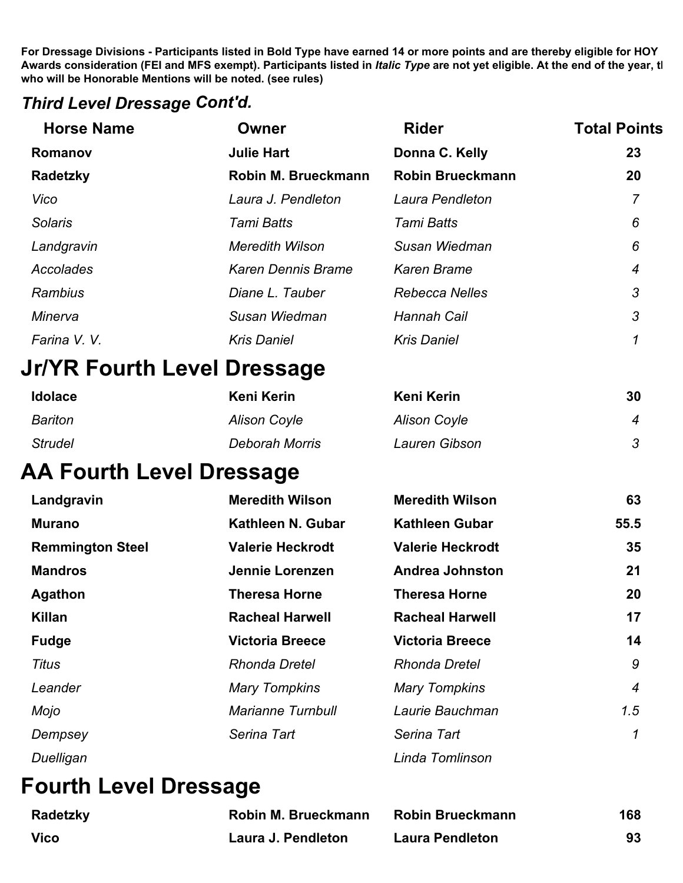#### *Third Level Dressage Cont'd.*

| <b>Horse Name</b> | Owner                  | <b>Rider</b>            | <b>Total Points</b> |
|-------------------|------------------------|-------------------------|---------------------|
| <b>Romanov</b>    | <b>Julie Hart</b>      | Donna C. Kelly          | 23                  |
| Radetzky          | Robin M. Brueckmann    | <b>Robin Brueckmann</b> | 20                  |
| Vico              | Laura J. Pendleton     | Laura Pendleton         | $\overline{7}$      |
| <b>Solaris</b>    | Tami Batts             | Tami Batts              | 6                   |
| Landgravin        | <b>Meredith Wilson</b> | Susan Wiedman           | 6                   |
| Accolades         | Karen Dennis Brame     | Karen Brame             | 4                   |
| Rambius           | Diane L. Tauber        | Rebecca Nelles          | 3                   |
| Minerva           | Susan Wiedman          | <b>Hannah Cail</b>      | 3                   |
| Farina V.V.       | <b>Kris Daniel</b>     | <b>Kris Daniel</b>      |                     |

## **Jr/YR Fourth Level Dressage**

| <b>Idolace</b> | Keni Kerin          | Keni Kerin          | 30             |
|----------------|---------------------|---------------------|----------------|
| Bariton        | <b>Alison Coyle</b> | <b>Alison Coyle</b> | $\overline{4}$ |
| <b>Strudel</b> | Deborah Morris      | Lauren Gibson       |                |

## **AA Fourth Level Dressage**

| Landgravin              | <b>Meredith Wilson</b>   | <b>Meredith Wilson</b>  | 63             |
|-------------------------|--------------------------|-------------------------|----------------|
| <b>Murano</b>           | Kathleen N. Gubar        | <b>Kathleen Gubar</b>   | 55.5           |
| <b>Remmington Steel</b> | <b>Valerie Heckrodt</b>  | <b>Valerie Heckrodt</b> | 35             |
| <b>Mandros</b>          | Jennie Lorenzen          | <b>Andrea Johnston</b>  | 21             |
| Agathon                 | <b>Theresa Horne</b>     | <b>Theresa Horne</b>    | 20             |
| <b>Killan</b>           | <b>Racheal Harwell</b>   | <b>Racheal Harwell</b>  | 17             |
| <b>Fudge</b>            | <b>Victoria Breece</b>   | <b>Victoria Breece</b>  | 14             |
| <b>Titus</b>            | <b>Rhonda Dretel</b>     | <b>Rhonda Dretel</b>    | 9              |
| Leander                 | <b>Mary Tompkins</b>     | <b>Mary Tompkins</b>    | $\overline{4}$ |
| Mojo                    | <b>Marianne Turnbull</b> | Laurie Bauchman         | 1.5            |
| Dempsey                 | Serina Tart              | Serina Tart             | $\mathcal I$   |
| Duelligan               |                          | Linda Tomlinson         |                |

# **Fourth Level Dressage**

| Radetzky | Robin M. Brueckmann | <b>Robin Brueckmann</b> | 168 |
|----------|---------------------|-------------------------|-----|
| Vico     | Laura J. Pendleton  | <b>Laura Pendleton</b>  | 93  |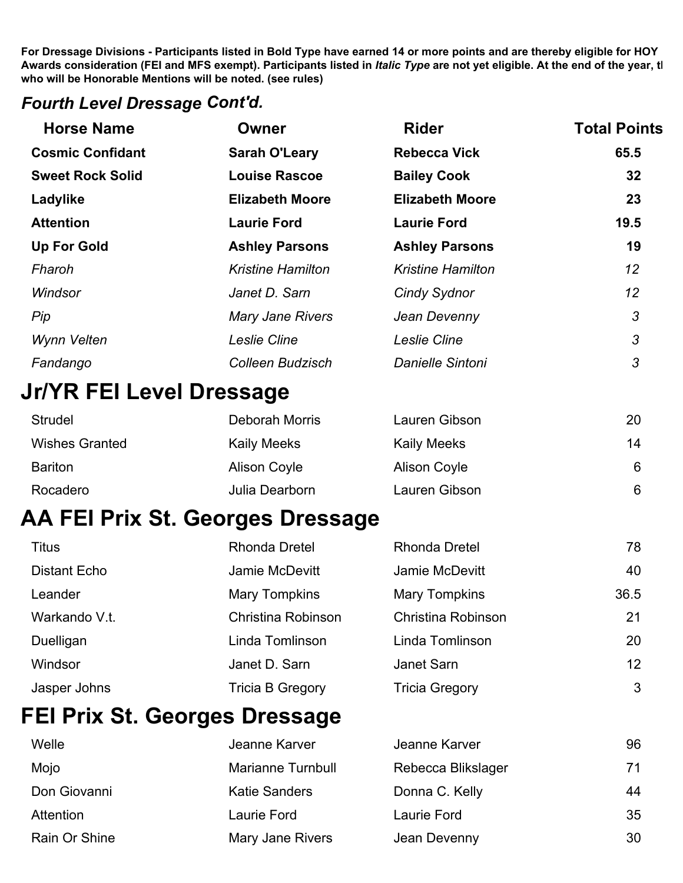#### *Fourth Level Dressage Cont'd.*

| <b>Horse Name</b>        | <b>Owner</b>                     | <b>Rider</b>             | <b>Total Points</b> |
|--------------------------|----------------------------------|--------------------------|---------------------|
| <b>Cosmic Confidant</b>  | <b>Sarah O'Leary</b>             | <b>Rebecca Vick</b>      | 65.5                |
| <b>Sweet Rock Solid</b>  | <b>Louise Rascoe</b>             | <b>Bailey Cook</b>       | 32                  |
| Ladylike                 | <b>Elizabeth Moore</b>           | <b>Elizabeth Moore</b>   | 23                  |
| <b>Attention</b>         | <b>Laurie Ford</b>               | <b>Laurie Ford</b>       | 19.5                |
| <b>Up For Gold</b>       | <b>Ashley Parsons</b>            | <b>Ashley Parsons</b>    | 19                  |
| Fharoh                   | <b>Kristine Hamilton</b>         | <b>Kristine Hamilton</b> | 12                  |
| Windsor                  | Janet D. Sarn                    | <b>Cindy Sydnor</b>      | 12                  |
| Pip                      | Mary Jane Rivers                 | Jean Devenny             | 3                   |
| Wynn Velten              | Leslie Cline                     | Leslie Cline             | 3                   |
| Fandango                 | <b>Colleen Budzisch</b>          | Danielle Sintoni         | 3                   |
| Jr/YR FEI Level Dressage |                                  |                          |                     |
| <b>Strudel</b>           | <b>Deborah Morris</b>            | Lauren Gibson            | 20                  |
| <b>Wishes Granted</b>    | <b>Kaily Meeks</b>               | <b>Kaily Meeks</b>       | 14                  |
| <b>Bariton</b>           | <b>Alison Coyle</b>              | <b>Alison Coyle</b>      | 6                   |
| Rocadero                 | Julia Dearborn                   | Lauren Gibson            | 6                   |
|                          | AA FEI Prix St. Georges Dressage |                          |                     |
| <b>Titus</b>             | <b>Rhonda Dretel</b>             | <b>Rhonda Dretel</b>     | 78                  |
| <b>Distant Echo</b>      | Jamie McDevitt                   | Jamie McDevitt           | 40                  |
| Leander                  | <b>Mary Tompkins</b>             | <b>Mary Tompkins</b>     | 36.5                |
| Warkando V.t.            | Christina Robinson               | Christina Robinson       | 21                  |
| Duelligan                | Linda Tomlinson                  | Linda Tomlinson          | 20                  |
| Windsor                  | Janet D. Sarn                    | Janet Sarn               | 12                  |
| Jasper Johns             | <b>Tricia B Gregory</b>          | <b>Tricia Gregory</b>    | 3                   |

# **FEI Prix St. Georges Dressage**

| Welle         | Jeanne Karver            | Jeanne Karver      | 96 |
|---------------|--------------------------|--------------------|----|
| Mojo          | <b>Marianne Turnbull</b> | Rebecca Blikslager | 71 |
| Don Giovanni  | <b>Katie Sanders</b>     | Donna C. Kelly     | 44 |
| Attention     | Laurie Ford              | Laurie Ford        | 35 |
| Rain Or Shine | Mary Jane Rivers         | Jean Devenny       | 30 |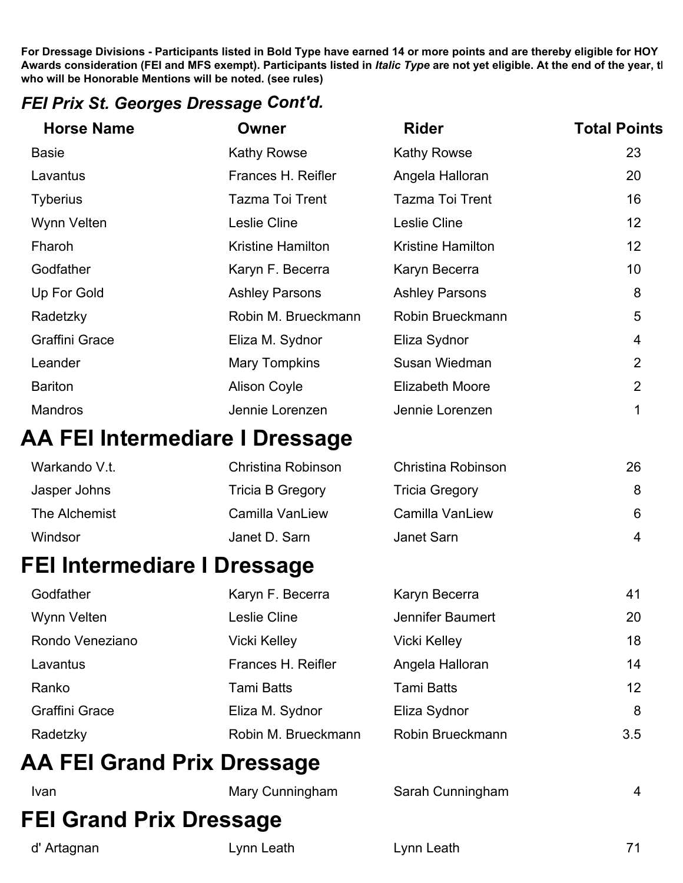#### *FEI Prix St. Georges Dressage Cont'd.*

| <b>Horse Name</b>                  | Owner                                 | <b>Rider</b>             | <b>Total Points</b> |
|------------------------------------|---------------------------------------|--------------------------|---------------------|
| <b>Basie</b>                       | <b>Kathy Rowse</b>                    | <b>Kathy Rowse</b>       | 23                  |
| Lavantus                           | Frances H. Reifler                    | Angela Halloran          | 20                  |
| <b>Tyberius</b>                    | Tazma Toi Trent                       | Tazma Toi Trent          | 16                  |
| Wynn Velten                        | Leslie Cline                          | Leslie Cline             | 12                  |
| Fharoh                             | <b>Kristine Hamilton</b>              | <b>Kristine Hamilton</b> | 12                  |
| Godfather                          | Karyn F. Becerra                      | Karyn Becerra            | 10                  |
| Up For Gold                        | <b>Ashley Parsons</b>                 | <b>Ashley Parsons</b>    | 8                   |
| Radetzky                           | Robin M. Brueckmann                   | Robin Brueckmann         | 5                   |
| <b>Graffini Grace</b>              | Eliza M. Sydnor                       | Eliza Sydnor             | 4                   |
| Leander                            | <b>Mary Tompkins</b>                  | Susan Wiedman            | $\overline{2}$      |
| <b>Bariton</b>                     | <b>Alison Coyle</b>                   | <b>Elizabeth Moore</b>   | $\overline{2}$      |
| <b>Mandros</b>                     | Jennie Lorenzen                       | Jennie Lorenzen          | $\mathbf 1$         |
|                                    | <b>AA FEI Intermediare I Dressage</b> |                          |                     |
| Warkando V.t.                      | Christina Robinson                    | Christina Robinson       | 26                  |
| Jasper Johns                       | <b>Tricia B Gregory</b>               | <b>Tricia Gregory</b>    | 8                   |
| The Alchemist                      | <b>Camilla VanLiew</b>                | Camilla VanLiew          | 6                   |
| Windsor                            | Janet D. Sarn                         | Janet Sarn               | 4                   |
| <b>FEI Intermediare I Dressage</b> |                                       |                          |                     |
| Godfather                          | Karyn F. Becerra                      | Karyn Becerra            | 41                  |
| Wynn Velten                        | Leslie Cline                          | Jennifer Baumert         | 20                  |
| Rondo Veneziano                    | <b>Vicki Kelley</b>                   | <b>Vicki Kelley</b>      | 18                  |
| Lavantus                           | Frances H. Reifler                    | Angela Halloran          | 14                  |
| Ranko                              | <b>Tami Batts</b>                     | <b>Tami Batts</b>        | 12                  |
| <b>Graffini Grace</b>              | Eliza M. Sydnor                       | Eliza Sydnor             | 8                   |
| Radetzky                           | Robin M. Brueckmann                   | Robin Brueckmann         | 3.5                 |
| <b>AA FEI Grand Prix Dressage</b>  |                                       |                          |                     |
| Ivan                               | Mary Cunningham                       | Sarah Cunningham         | 4                   |
| <b>FEI Grand Prix Dressage</b>     |                                       |                          |                     |
| d' Artagnan                        | Lynn Leath                            | Lynn Leath               | 71                  |